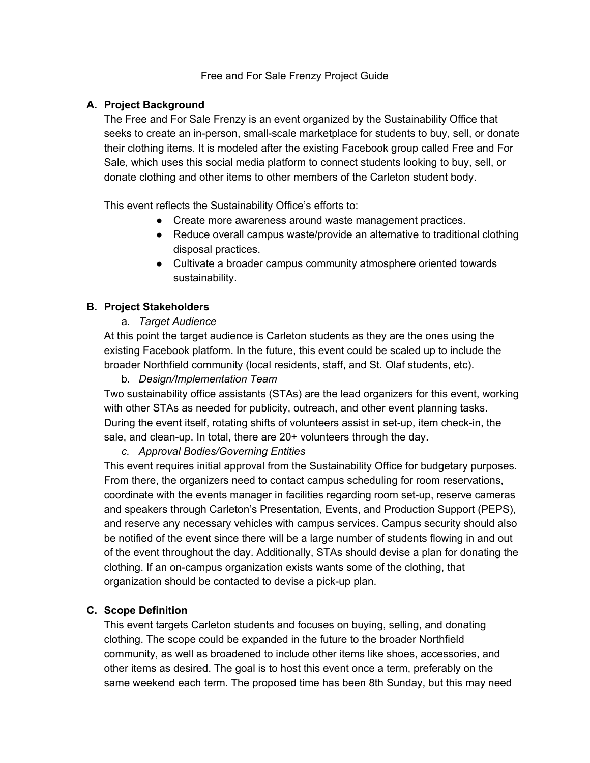#### Free and For Sale Frenzy Project Guide

### **A. Project Background**

The Free and For Sale Frenzy is an event organized by the Sustainability Office that seeks to create an in-person, small-scale marketplace for students to buy, sell, or donate their clothing items. It is modeled after the existing Facebook group called Free and For Sale, which uses this social media platform to connect students looking to buy, sell, or donate clothing and other items to other members of the Carleton student body.

This event reflects the Sustainability Office's efforts to:

- Create more awareness around waste management practices.
- Reduce overall campus waste/provide an alternative to traditional clothing disposal practices.
- Cultivate a broader campus community atmosphere oriented towards sustainability.

### **B. Project Stakeholders**

a. *Target Audience*

At this point the target audience is Carleton students as they are the ones using the existing Facebook platform. In the future, this event could be scaled up to include the broader Northfield community (local residents, staff, and St. Olaf students, etc).

b. *Design/Implementation Team*

Two sustainability office assistants (STAs) are the lead organizers for this event, working with other STAs as needed for publicity, outreach, and other event planning tasks. During the event itself, rotating shifts of volunteers assist in set-up, item check-in, the sale, and clean-up. In total, there are 20+ volunteers through the day.

#### *c. Approval Bodies/Governing Entities*

This event requires initial approval from the Sustainability Office for budgetary purposes. From there, the organizers need to contact campus scheduling for room reservations, coordinate with the events manager in facilities regarding room set-up, reserve cameras and speakers through Carleton's Presentation, Events, and Production Support (PEPS), and reserve any necessary vehicles with campus services. Campus security should also be notified of the event since there will be a large number of students flowing in and out of the event throughout the day. Additionally, STAs should devise a plan for donating the clothing. If an on-campus organization exists wants some of the clothing, that organization should be contacted to devise a pick-up plan.

### **C. Scope Definition**

This event targets Carleton students and focuses on buying, selling, and donating clothing. The scope could be expanded in the future to the broader Northfield community, as well as broadened to include other items like shoes, accessories, and other items as desired. The goal is to host this event once a term, preferably on the same weekend each term. The proposed time has been 8th Sunday, but this may need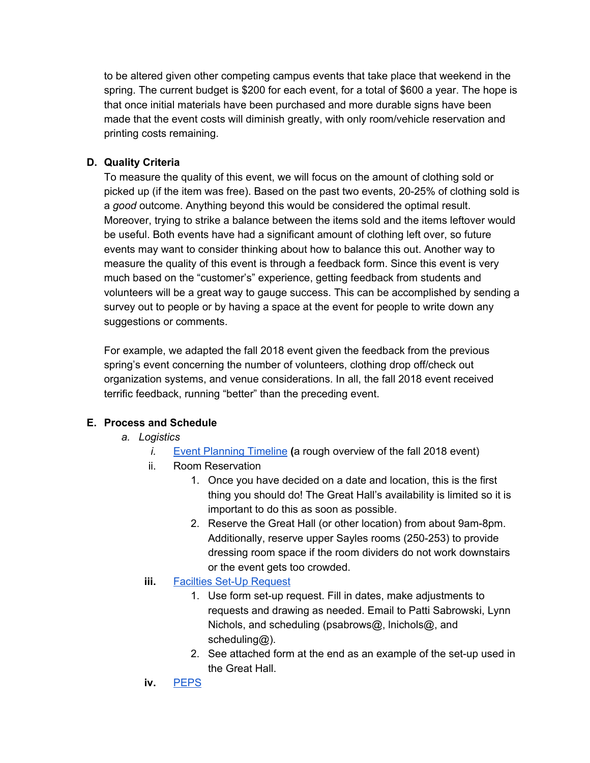to be altered given other competing campus events that take place that weekend in the spring. The current budget is \$200 for each event, for a total of \$600 a year. The hope is that once initial materials have been purchased and more durable signs have been made that the event costs will diminish greatly, with only room/vehicle reservation and printing costs remaining.

### **D. Quality Criteria**

To measure the quality of this event, we will focus on the amount of clothing sold or picked up (if the item was free). Based on the past two events, 20-25% of clothing sold is a *good* outcome. Anything beyond this would be considered the optimal result. Moreover, trying to strike a balance between the items sold and the items leftover would be useful. Both events have had a significant amount of clothing left over, so future events may want to consider thinking about how to balance this out. Another way to measure the quality of this event is through a feedback form. Since this event is very much based on the "customer's" experience, getting feedback from students and volunteers will be a great way to gauge success. This can be accomplished by sending a survey out to people or by having a space at the event for people to write down any suggestions or comments.

For example, we adapted the fall 2018 event given the feedback from the previous spring's event concerning the number of volunteers, clothing drop off/check out organization systems, and venue considerations. In all, the fall 2018 event received terrific feedback, running "better" than the preceding event.

## **E. Process and Schedule**

- *a. Logistics*
	- *i.* Event [Planning](https://docs.google.com/spreadsheets/d/1yrKlNknGuOin6glh4-N-33NCjGlR-ORnC_F3J8p0c9E/edit?usp=sharing) Timeline **(**a rough overview of the fall 2018 event)
	- ii. Room Reservation
		- 1. Once you have decided on a date and location, this is the first thing you should do! The Great Hall's availability is limited so it is important to do this as soon as possible.
		- 2. Reserve the Great Hall (or other location) from about 9am-8pm. Additionally, reserve upper Sayles rooms (250-253) to provide dressing room space if the room dividers do not work downstairs or the event gets too crowded.
	- **iii.** Facilties Set-Up [Request](https://apps.carleton.edu/campus/facilities/whoweare/setup/)
		- 1. Use form set-up request. Fill in dates, make adjustments to requests and drawing as needed. Email to Patti Sabrowski, Lynn Nichols, and scheduling (psabrows@, lnichols@, and scheduling@).
		- 2. See attached form at the end as an example of the set-up used in the Great Hall.
	- **iv.** [PEPS](https://apps.carleton.edu/campus/its/peps/loaners/form/)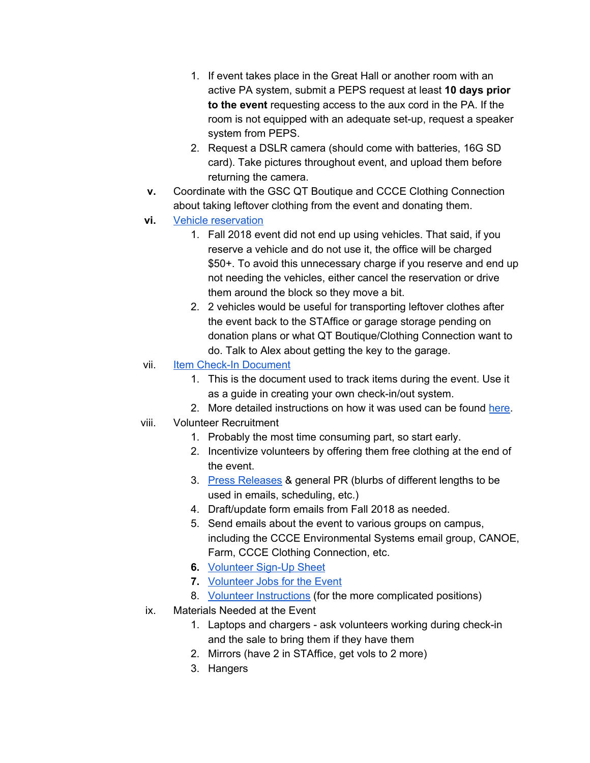- 1. If event takes place in the Great Hall or another room with an active PA system, submit a PEPS request at least **10 days prior to the event** requesting access to the aux cord in the PA. If the room is not equipped with an adequate set-up, request a speaker system from PEPS.
- 2. Request a DSLR camera (should come with batteries, 16G SD card). Take pictures throughout event, and upload them before returning the camera.
- **v.** Coordinate with the GSC QT Boutique and CCCE Clothing Connection about taking leftover clothing from the event and donating them.
- **vi.** Vehicle [reservation](https://apps.carleton.edu/campus/fleet/)
	- 1. Fall 2018 event did not end up using vehicles. That said, if you reserve a vehicle and do not use it, the office will be charged \$50+. To avoid this unnecessary charge if you reserve and end up not needing the vehicles, either cancel the reservation or drive them around the block so they move a bit.
	- 2. 2 vehicles would be useful for transporting leftover clothes after the event back to the STAffice or garage storage pending on donation plans or what QT Boutique/Clothing Connection want to do. Talk to Alex about getting the key to the garage.
- vii. Item Check-In [Document](https://docs.google.com/spreadsheets/d/1gN5py5Gf3tE5J6Wd_ezhpbgFyYh0oQxWeWBl4oHwJCg/edit?usp=sharing)
	- 1. This is the document used to track items during the event. Use it as a guide in creating your own check-in/out system.
	- 2. More detailed instructions on how it was used can be found [here.](https://docs.google.com/document/d/1V1VPidG5Rg7N6MxU7VqfyJWxyPkcztQ4QdoHLRUBel4/edit)
- viii. Volunteer Recruitment
	- 1. Probably the most time consuming part, so start early.
	- 2. Incentivize volunteers by offering them free clothing at the end of the event.
	- 3. Press [Releases](https://drive.google.com/open?id=1zdt9zqzbmg6mkTZfciBBkNO2LTro9ZE3aAIcXld21Qg) & general PR (blurbs of different lengths to be used in emails, scheduling, etc.)
	- 4. Draft/update form emails from Fall 2018 as needed.
	- 5. Send emails about the event to various groups on campus, including the CCCE Environmental Systems email group, CANOE, Farm, CCCE Clothing Connection, etc.
	- **6.** [Volunteer](https://drive.google.com/open?id=1UcRj__JLVtj0p6BMYcsw_iiUhkAWf8xWQnnRL1l796Q) Sign-Up Sheet
	- **7.** [Volunteer](https://docs.google.com/document/d/1-YHgMbdELWGHqn2HtwXQrB1twKgrHT93VjadeITxXsk/edit) Jobs for the Event
	- 8. Volunteer [Instructions](https://docs.google.com/document/d/1V1VPidG5Rg7N6MxU7VqfyJWxyPkcztQ4QdoHLRUBel4/edit) (for the more complicated positions)
- ix. Materials Needed at the Event
	- 1. Laptops and chargers ask volunteers working during check-in and the sale to bring them if they have them
	- 2. Mirrors (have 2 in STAffice, get vols to 2 more)
	- 3. Hangers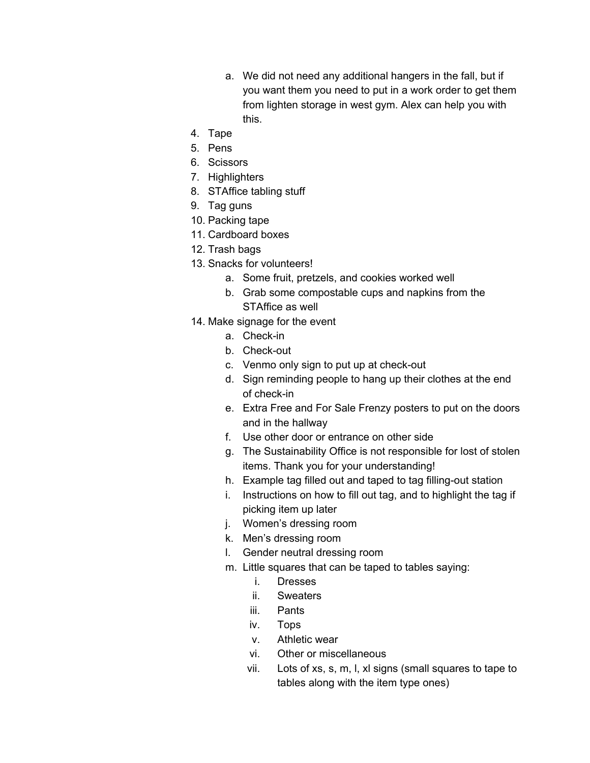- a. We did not need any additional hangers in the fall, but if you want them you need to put in a work order to get them from lighten storage in west gym. Alex can help you with this.
- 4. Tape
- 5. Pens
- 6. Scissors
- 7. Highlighters
- 8. STAffice tabling stuff
- 9. Tag guns
- 10. Packing tape
- 11. Cardboard boxes
- 12. Trash bags
- 13. Snacks for volunteers!
	- a. Some fruit, pretzels, and cookies worked well
	- b. Grab some compostable cups and napkins from the STAffice as well
- 14. Make signage for the event
	- a. Check-in
	- b. Check-out
	- c. Venmo only sign to put up at check-out
	- d. Sign reminding people to hang up their clothes at the end of check-in
	- e. Extra Free and For Sale Frenzy posters to put on the doors and in the hallway
	- f. Use other door or entrance on other side
	- g. The Sustainability Office is not responsible for lost of stolen items. Thank you for your understanding!
	- h. Example tag filled out and taped to tag filling-out station
	- i. Instructions on how to fill out tag, and to highlight the tag if picking item up later
	- j. Women's dressing room
	- k. Men's dressing room
	- l. Gender neutral dressing room
	- m. Little squares that can be taped to tables saying:
		- i. Dresses
		- ii. Sweaters
		- iii. Pants
		- iv. Tops
		- v. Athletic wear
		- vi. Other or miscellaneous
		- vii. Lots of xs, s, m, l, xl signs (small squares to tape to tables along with the item type ones)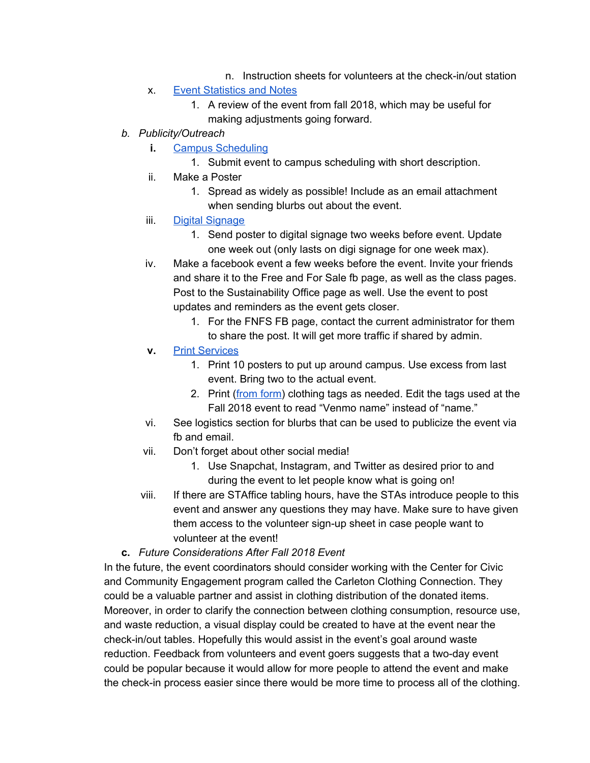- n. Instruction sheets for volunteers at the check-in/out station
- x. Event [Statistics](https://docs.google.com/document/d/1Qn1zVV7Qn6g7OXTHnYRia9myDwF1Xual9oD6JE6srzA/edit?usp=sharing) and Notes
	- 1. A review of the event from fall 2018, which may be useful for making adjustments going forward.
- *b. Publicity/Outreach*
	- **i.** Campus [Scheduling](https://apps.carleton.edu/campus/scheduling/)
		- 1. Submit event to campus scheduling with short description.
	- ii. Make a Poster
		- 1. Spread as widely as possible! Include as an email attachment when sending blurbs out about the event.
	- iii. Digital [Signage](https://apps.carleton.edu/signage/content/posters/)
		- 1. Send poster to digital signage two weeks before event. Update one week out (only lasts on digi signage for one week max).
	- iv. Make a facebook event a few weeks before the event. Invite your friends and share it to the Free and For Sale fb page, as well as the class pages. Post to the Sustainability Office page as well. Use the event to post updates and reminders as the event gets closer.
		- 1. For the FNFS FB page, contact the current administrator for them to share the post. It will get more traffic if shared by admin.
	- **v.** Print [Services](https://apps.carleton.edu/campus/print/)
		- 1. Print 10 posters to put up around campus. Use excess from last event. Bring two to the actual event.
		- 2. Print [\(from](https://drive.google.com/open?id=14z3-JyOrkiiQK4TMqlzoQz3oEbRyy3We) form) clothing tags as needed. Edit the tags used at the Fall 2018 event to read "Venmo name" instead of "name."
	- vi. See logistics section for blurbs that can be used to publicize the event via fb and email.
	- vii. Don't forget about other social media!
		- 1. Use Snapchat, Instagram, and Twitter as desired prior to and during the event to let people know what is going on!
	- viii. If there are STAffice tabling hours, have the STAs introduce people to this event and answer any questions they may have. Make sure to have given them access to the volunteer sign-up sheet in case people want to volunteer at the event!

#### **c.** *Future Considerations After Fall 2018 Event*

In the future, the event coordinators should consider working with the Center for Civic and Community Engagement program called the Carleton Clothing Connection. They could be a valuable partner and assist in clothing distribution of the donated items. Moreover, in order to clarify the connection between clothing consumption, resource use, and waste reduction, a visual display could be created to have at the event near the check-in/out tables. Hopefully this would assist in the event's goal around waste reduction. Feedback from volunteers and event goers suggests that a two-day event could be popular because it would allow for more people to attend the event and make the check-in process easier since there would be more time to process all of the clothing.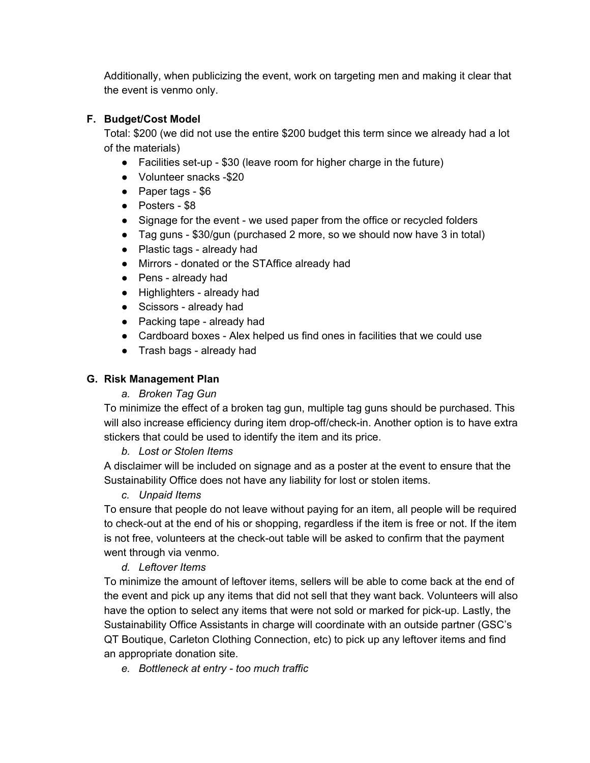Additionally, when publicizing the event, work on targeting men and making it clear that the event is venmo only.

## **F. Budget/Cost Model**

Total: \$200 (we did not use the entire \$200 budget this term since we already had a lot of the materials)

- Facilities set-up \$30 (leave room for higher charge in the future)
- Volunteer snacks -\$20
- Paper tags \$6
- Posters \$8
- Signage for the event we used paper from the office or recycled folders
- Tag guns \$30/gun (purchased 2 more, so we should now have 3 in total)
- Plastic tags already had
- Mirrors donated or the STAffice already had
- Pens already had
- Highlighters already had
- Scissors already had
- Packing tape already had
- Cardboard boxes Alex helped us find ones in facilities that we could use
- Trash bags already had

## **G. Risk Management Plan**

*a. Broken Tag Gun*

To minimize the effect of a broken tag gun, multiple tag guns should be purchased. This will also increase efficiency during item drop-off/check-in. Another option is to have extra stickers that could be used to identify the item and its price.

## *b. Lost or Stolen Items*

A disclaimer will be included on signage and as a poster at the event to ensure that the Sustainability Office does not have any liability for lost or stolen items.

## *c. Unpaid Items*

To ensure that people do not leave without paying for an item, all people will be required to check-out at the end of his or shopping, regardless if the item is free or not. If the item is not free, volunteers at the check-out table will be asked to confirm that the payment went through via venmo.

# *d. Leftover Items*

To minimize the amount of leftover items, sellers will be able to come back at the end of the event and pick up any items that did not sell that they want back. Volunteers will also have the option to select any items that were not sold or marked for pick-up. Lastly, the Sustainability Office Assistants in charge will coordinate with an outside partner (GSC's QT Boutique, Carleton Clothing Connection, etc) to pick up any leftover items and find an appropriate donation site.

*e. Bottleneck at entry - too much traffic*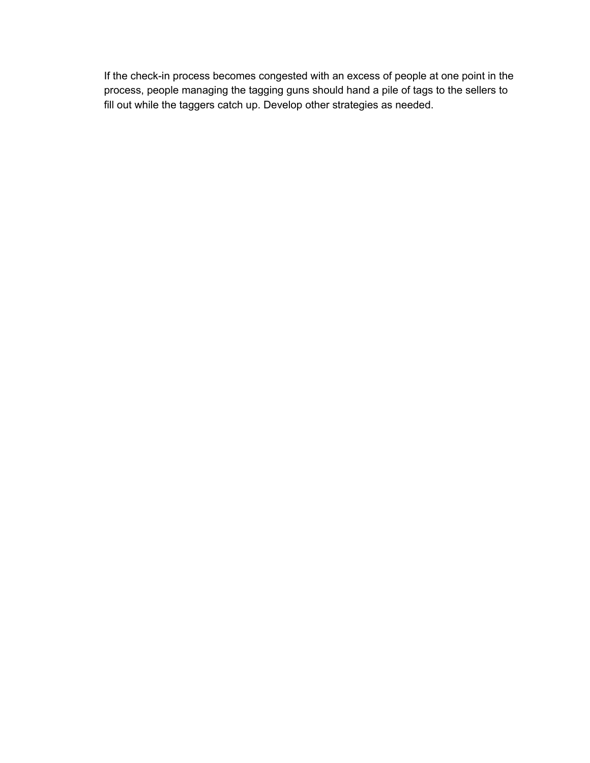If the check-in process becomes congested with an excess of people at one point in the process, people managing the tagging guns should hand a pile of tags to the sellers to fill out while the taggers catch up. Develop other strategies as needed.